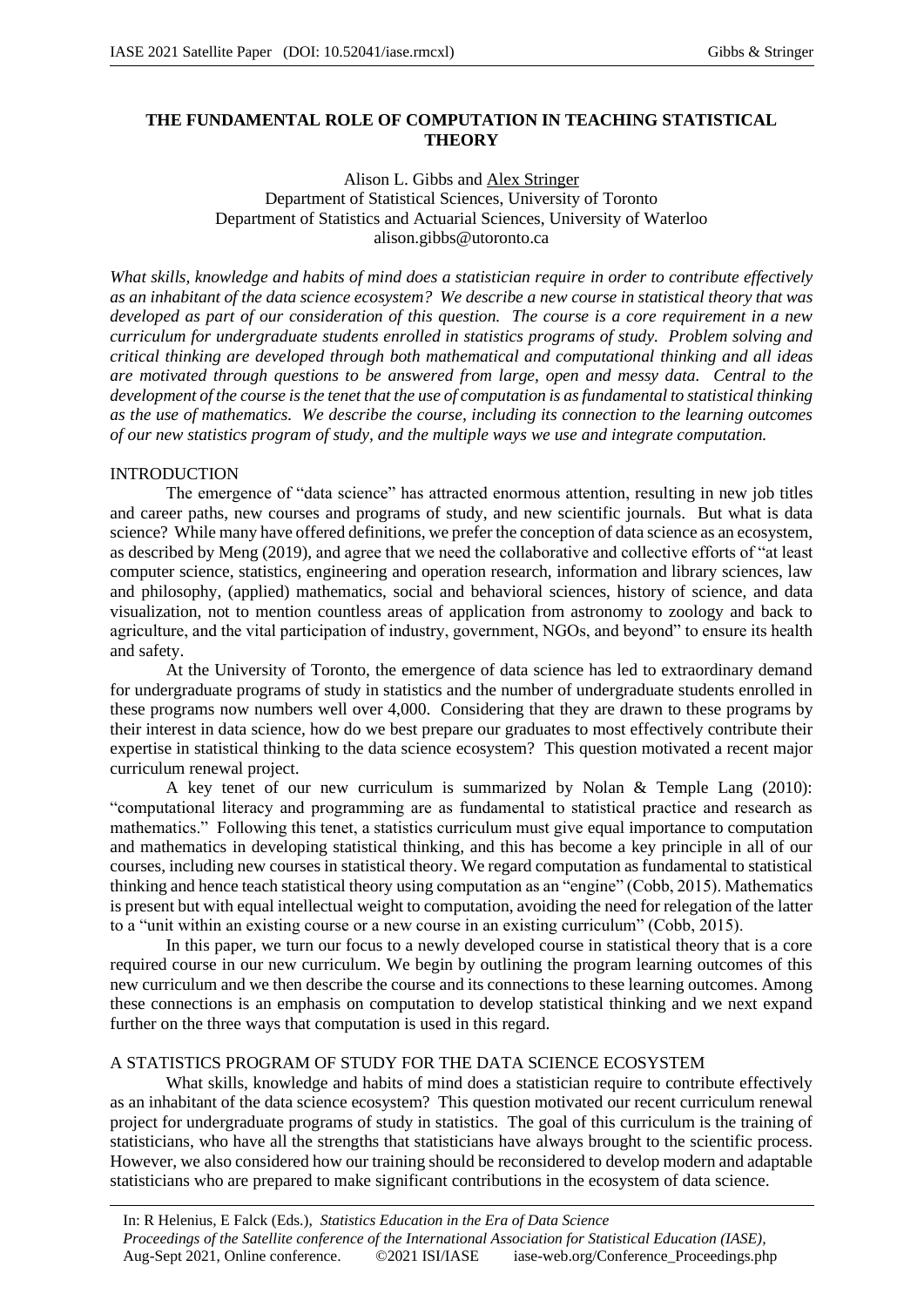# **THE FUNDAMENTAL ROLE OF COMPUTATION IN TEACHING STATISTICAL THEORY**

## Alison L. Gibbs and Alex Stringer Department of Statistical Sciences, University of Toronto Department of Statistics and Actuarial Sciences, University of Waterloo alison.gibbs@utoronto.ca

*What skills, knowledge and habits of mind does a statistician require in order to contribute effectively as an inhabitant of the data science ecosystem? We describe a new course in statistical theory that was developed as part of our consideration of this question. The course is a core requirement in a new curriculum for undergraduate students enrolled in statistics programs of study. Problem solving and critical thinking are developed through both mathematical and computational thinking and all ideas are motivated through questions to be answered from large, open and messy data. Central to the development of the course is the tenet that the use of computation is as fundamental to statistical thinking as the use of mathematics. We describe the course, including its connection to the learning outcomes of our new statistics program of study, and the multiple ways we use and integrate computation.*

### INTRODUCTION

The emergence of "data science" has attracted enormous attention, resulting in new job titles and career paths, new courses and programs of study, and new scientific journals. But what is data science? While many have offered definitions, we prefer the conception of data science as an ecosystem, as described by Meng (2019), and agree that we need the collaborative and collective efforts of "at least computer science, statistics, engineering and operation research, information and library sciences, law and philosophy, (applied) mathematics, social and behavioral sciences, history of science, and data visualization, not to mention countless areas of application from astronomy to zoology and back to agriculture, and the vital participation of industry, government, NGOs, and beyond" to ensure its health and safety.

At the University of Toronto, the emergence of data science has led to extraordinary demand for undergraduate programs of study in statistics and the number of undergraduate students enrolled in these programs now numbers well over 4,000. Considering that they are drawn to these programs by their interest in data science, how do we best prepare our graduates to most effectively contribute their expertise in statistical thinking to the data science ecosystem? This question motivated a recent major curriculum renewal project.

A key tenet of our new curriculum is summarized by Nolan & Temple Lang (2010): "computational literacy and programming are as fundamental to statistical practice and research as mathematics." Following this tenet, a statistics curriculum must give equal importance to computation and mathematics in developing statistical thinking, and this has become a key principle in all of our courses, including new courses in statistical theory. We regard computation as fundamental to statistical thinking and hence teach statistical theory using computation as an "engine" (Cobb, 2015). Mathematics is present but with equal intellectual weight to computation, avoiding the need for relegation of the latter to a "unit within an existing course or a new course in an existing curriculum" (Cobb, 2015).

In this paper, we turn our focus to a newly developed course in statistical theory that is a core required course in our new curriculum. We begin by outlining the program learning outcomes of this new curriculum and we then describe the course and its connections to these learning outcomes. Among these connections is an emphasis on computation to develop statistical thinking and we next expand further on the three ways that computation is used in this regard.

# A STATISTICS PROGRAM OF STUDY FOR THE DATA SCIENCE ECOSYSTEM

What skills, knowledge and habits of mind does a statistician require to contribute effectively as an inhabitant of the data science ecosystem? This question motivated our recent curriculum renewal project for undergraduate programs of study in statistics. The goal of this curriculum is the training of statisticians, who have all the strengths that statisticians have always brought to the scientific process. However, we also considered how our training should be reconsidered to develop modern and adaptable statisticians who are prepared to make significant contributions in the ecosystem of data science.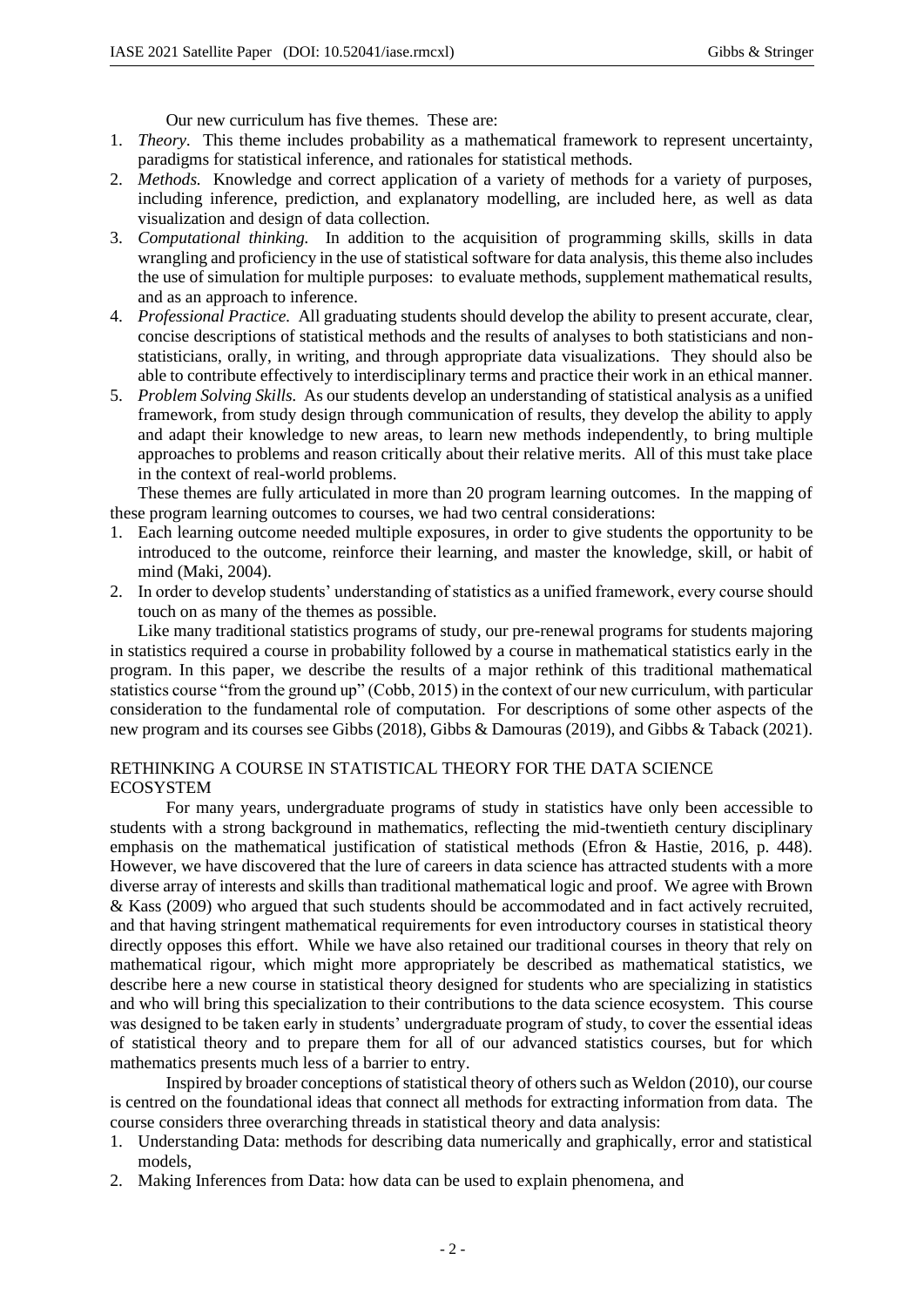Our new curriculum has five themes. These are:

- 1. *Theory.* This theme includes probability as a mathematical framework to represent uncertainty, paradigms for statistical inference, and rationales for statistical methods.
- 2. *Methods.* Knowledge and correct application of a variety of methods for a variety of purposes, including inference, prediction, and explanatory modelling, are included here, as well as data visualization and design of data collection.
- 3. *Computational thinking.* In addition to the acquisition of programming skills, skills in data wrangling and proficiency in the use of statistical software for data analysis, this theme also includes the use of simulation for multiple purposes: to evaluate methods, supplement mathematical results, and as an approach to inference.
- 4. *Professional Practice.* All graduating students should develop the ability to present accurate, clear, concise descriptions of statistical methods and the results of analyses to both statisticians and nonstatisticians, orally, in writing, and through appropriate data visualizations. They should also be able to contribute effectively to interdisciplinary terms and practice their work in an ethical manner.
- 5. *Problem Solving Skills.* As our students develop an understanding of statistical analysis as a unified framework, from study design through communication of results, they develop the ability to apply and adapt their knowledge to new areas, to learn new methods independently, to bring multiple approaches to problems and reason critically about their relative merits. All of this must take place in the context of real-world problems.

These themes are fully articulated in more than 20 program learning outcomes. In the mapping of these program learning outcomes to courses, we had two central considerations:

- 1. Each learning outcome needed multiple exposures, in order to give students the opportunity to be introduced to the outcome, reinforce their learning, and master the knowledge, skill, or habit of mind (Maki, 2004).
- 2. In order to develop students' understanding of statistics as a unified framework, every course should touch on as many of the themes as possible.

Like many traditional statistics programs of study, our pre-renewal programs for students majoring in statistics required a course in probability followed by a course in mathematical statistics early in the program. In this paper, we describe the results of a major rethink of this traditional mathematical statistics course "from the ground up" (Cobb, 2015) in the context of our new curriculum, with particular consideration to the fundamental role of computation. For descriptions of some other aspects of the new program and its courses see Gibbs (2018), Gibbs & Damouras (2019), and Gibbs & Taback (2021).

# RETHINKING A COURSE IN STATISTICAL THEORY FOR THE DATA SCIENCE ECOSYSTEM

For many years, undergraduate programs of study in statistics have only been accessible to students with a strong background in mathematics, reflecting the mid-twentieth century disciplinary emphasis on the mathematical justification of statistical methods (Efron & Hastie, 2016, p. 448). However, we have discovered that the lure of careers in data science has attracted students with a more diverse array of interests and skills than traditional mathematical logic and proof. We agree with Brown & Kass (2009) who argued that such students should be accommodated and in fact actively recruited, and that having stringent mathematical requirements for even introductory courses in statistical theory directly opposes this effort. While we have also retained our traditional courses in theory that rely on mathematical rigour, which might more appropriately be described as mathematical statistics, we describe here a new course in statistical theory designed for students who are specializing in statistics and who will bring this specialization to their contributions to the data science ecosystem. This course was designed to be taken early in students' undergraduate program of study, to cover the essential ideas of statistical theory and to prepare them for all of our advanced statistics courses, but for which mathematics presents much less of a barrier to entry.

Inspired by broader conceptions of statistical theory of others such as Weldon (2010), our course is centred on the foundational ideas that connect all methods for extracting information from data. The course considers three overarching threads in statistical theory and data analysis:

- 1. Understanding Data: methods for describing data numerically and graphically, error and statistical models,
- 2. Making Inferences from Data: how data can be used to explain phenomena, and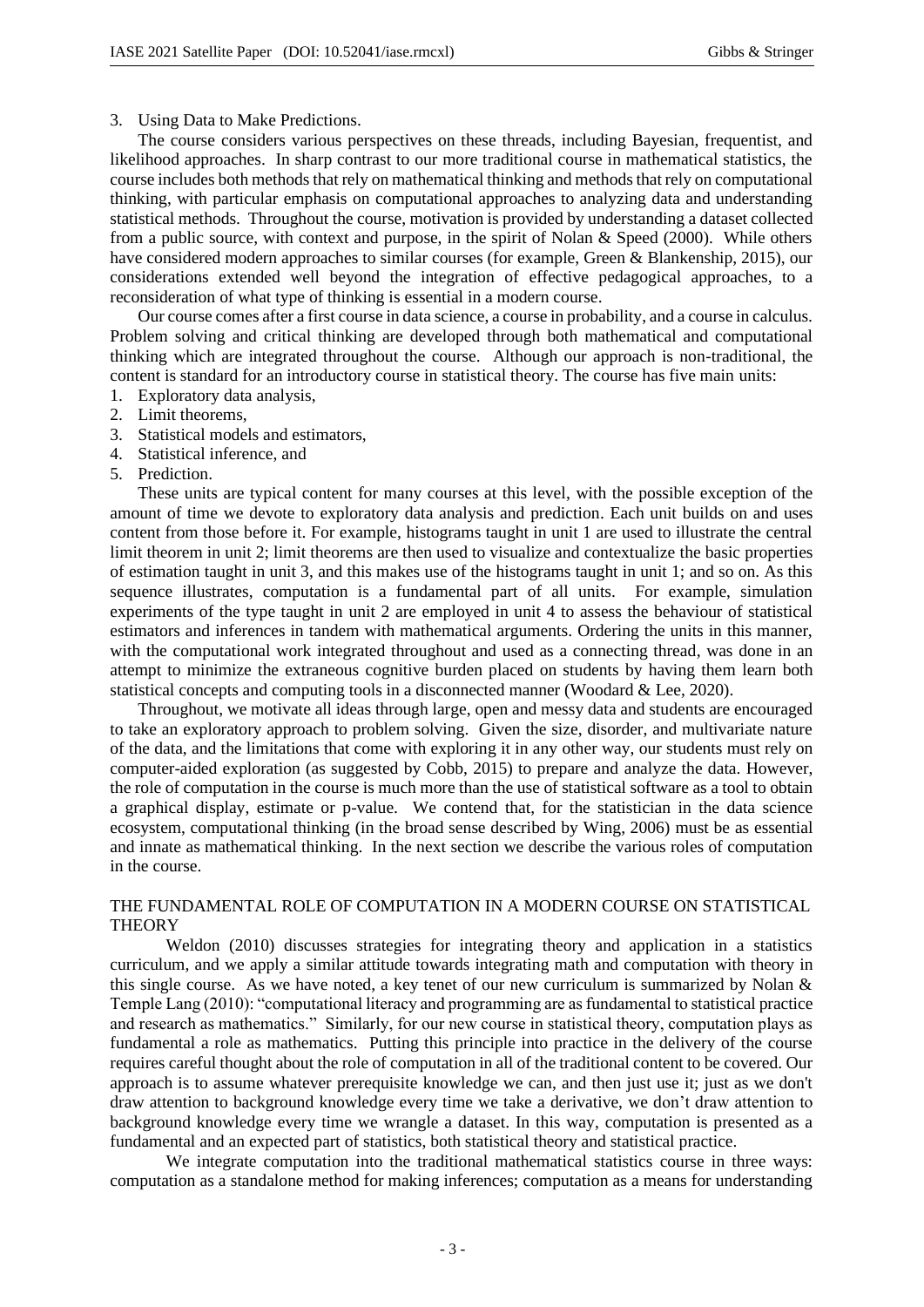#### 3. Using Data to Make Predictions.

The course considers various perspectives on these threads, including Bayesian, frequentist, and likelihood approaches. In sharp contrast to our more traditional course in mathematical statistics, the course includes both methods that rely on mathematical thinking and methods that rely on computational thinking, with particular emphasis on computational approaches to analyzing data and understanding statistical methods. Throughout the course, motivation is provided by understanding a dataset collected from a public source, with context and purpose, in the spirit of Nolan & Speed (2000). While others have considered modern approaches to similar courses (for example, Green & Blankenship, 2015), our considerations extended well beyond the integration of effective pedagogical approaches, to a reconsideration of what type of thinking is essential in a modern course.

Our course comes after a first course in data science, a course in probability, and a course in calculus. Problem solving and critical thinking are developed through both mathematical and computational thinking which are integrated throughout the course. Although our approach is non-traditional, the content is standard for an introductory course in statistical theory. The course has five main units:

- 1. Exploratory data analysis,
- 2. Limit theorems,
- 3. Statistical models and estimators,
- 4. Statistical inference, and
- 5. Prediction.

These units are typical content for many courses at this level, with the possible exception of the amount of time we devote to exploratory data analysis and prediction. Each unit builds on and uses content from those before it. For example, histograms taught in unit 1 are used to illustrate the central limit theorem in unit 2; limit theorems are then used to visualize and contextualize the basic properties of estimation taught in unit 3, and this makes use of the histograms taught in unit 1; and so on. As this sequence illustrates, computation is a fundamental part of all units. For example, simulation experiments of the type taught in unit 2 are employed in unit 4 to assess the behaviour of statistical estimators and inferences in tandem with mathematical arguments. Ordering the units in this manner, with the computational work integrated throughout and used as a connecting thread, was done in an attempt to minimize the extraneous cognitive burden placed on students by having them learn both statistical concepts and computing tools in a disconnected manner (Woodard & Lee, 2020).

Throughout, we motivate all ideas through large, open and messy data and students are encouraged to take an exploratory approach to problem solving. Given the size, disorder, and multivariate nature of the data, and the limitations that come with exploring it in any other way, our students must rely on computer-aided exploration (as suggested by Cobb, 2015) to prepare and analyze the data. However, the role of computation in the course is much more than the use of statistical software as a tool to obtain a graphical display, estimate or p-value. We contend that, for the statistician in the data science ecosystem, computational thinking (in the broad sense described by Wing, 2006) must be as essential and innate as mathematical thinking. In the next section we describe the various roles of computation in the course.

### THE FUNDAMENTAL ROLE OF COMPUTATION IN A MODERN COURSE ON STATISTICAL **THEORY**

Weldon (2010) discusses strategies for integrating theory and application in a statistics curriculum, and we apply a similar attitude towards integrating math and computation with theory in this single course. As we have noted, a key tenet of our new curriculum is summarized by Nolan  $\&$ Temple Lang (2010): "computational literacy and programming are as fundamental to statistical practice and research as mathematics." Similarly, for our new course in statistical theory, computation plays as fundamental a role as mathematics. Putting this principle into practice in the delivery of the course requires careful thought about the role of computation in all of the traditional content to be covered. Our approach is to assume whatever prerequisite knowledge we can, and then just use it; just as we don't draw attention to background knowledge every time we take a derivative, we don't draw attention to background knowledge every time we wrangle a dataset. In this way, computation is presented as a fundamental and an expected part of statistics, both statistical theory and statistical practice.

We integrate computation into the traditional mathematical statistics course in three ways: computation as a standalone method for making inferences; computation as a means for understanding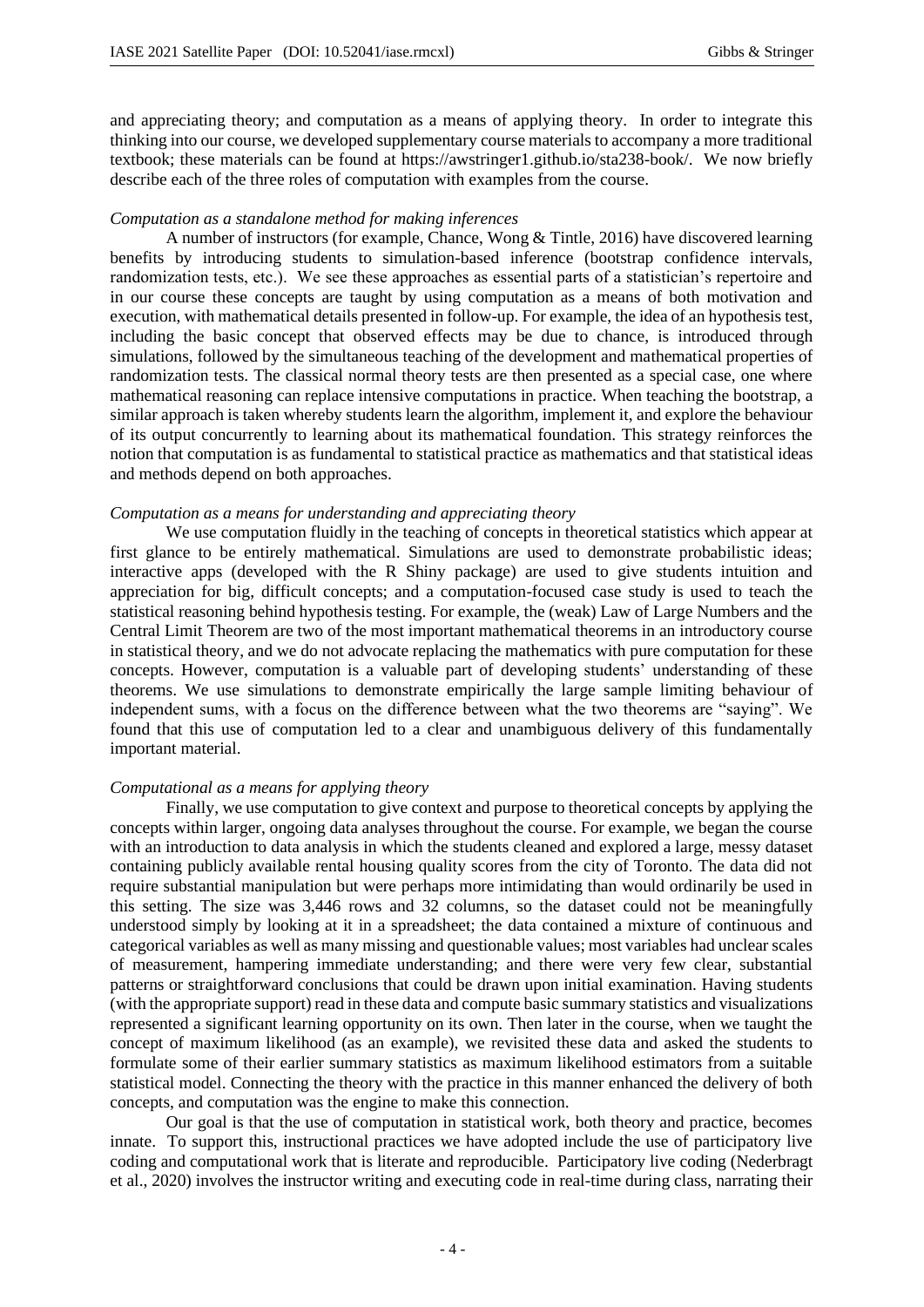and appreciating theory; and computation as a means of applying theory. In order to integrate this thinking into our course, we developed supplementary course materials to accompany a more traditional textbook; these materials can be found at https://awstringer1.github.io/sta238-book/. We now briefly describe each of the three roles of computation with examples from the course.

### *Computation as a standalone method for making inferences*

A number of instructors (for example, Chance, Wong & Tintle, 2016) have discovered learning benefits by introducing students to simulation-based inference (bootstrap confidence intervals, randomization tests, etc.). We see these approaches as essential parts of a statistician's repertoire and in our course these concepts are taught by using computation as a means of both motivation and execution, with mathematical details presented in follow-up. For example, the idea of an hypothesis test, including the basic concept that observed effects may be due to chance, is introduced through simulations, followed by the simultaneous teaching of the development and mathematical properties of randomization tests. The classical normal theory tests are then presented as a special case, one where mathematical reasoning can replace intensive computations in practice. When teaching the bootstrap, a similar approach is taken whereby students learn the algorithm, implement it, and explore the behaviour of its output concurrently to learning about its mathematical foundation. This strategy reinforces the notion that computation is as fundamental to statistical practice as mathematics and that statistical ideas and methods depend on both approaches.

#### *Computation as a means for understanding and appreciating theory*

We use computation fluidly in the teaching of concepts in theoretical statistics which appear at first glance to be entirely mathematical. Simulations are used to demonstrate probabilistic ideas; interactive apps (developed with the R Shiny package) are used to give students intuition and appreciation for big, difficult concepts; and a computation-focused case study is used to teach the statistical reasoning behind hypothesis testing. For example, the (weak) Law of Large Numbers and the Central Limit Theorem are two of the most important mathematical theorems in an introductory course in statistical theory, and we do not advocate replacing the mathematics with pure computation for these concepts. However, computation is a valuable part of developing students' understanding of these theorems. We use simulations to demonstrate empirically the large sample limiting behaviour of independent sums, with a focus on the difference between what the two theorems are "saying". We found that this use of computation led to a clear and unambiguous delivery of this fundamentally important material.

#### *Computational as a means for applying theory*

Finally, we use computation to give context and purpose to theoretical concepts by applying the concepts within larger, ongoing data analyses throughout the course. For example, we began the course with an introduction to data analysis in which the students cleaned and explored a large, messy dataset containing publicly available rental housing quality scores from the city of Toronto. The data did not require substantial manipulation but were perhaps more intimidating than would ordinarily be used in this setting. The size was 3,446 rows and 32 columns, so the dataset could not be meaningfully understood simply by looking at it in a spreadsheet; the data contained a mixture of continuous and categorical variables as well as many missing and questionable values; most variables had unclear scales of measurement, hampering immediate understanding; and there were very few clear, substantial patterns or straightforward conclusions that could be drawn upon initial examination. Having students (with the appropriate support) read in these data and compute basic summary statistics and visualizations represented a significant learning opportunity on its own. Then later in the course, when we taught the concept of maximum likelihood (as an example), we revisited these data and asked the students to formulate some of their earlier summary statistics as maximum likelihood estimators from a suitable statistical model. Connecting the theory with the practice in this manner enhanced the delivery of both concepts, and computation was the engine to make this connection.

Our goal is that the use of computation in statistical work, both theory and practice, becomes innate. To support this, instructional practices we have adopted include the use of participatory live coding and computational work that is literate and reproducible. Participatory live coding (Nederbragt et al., 2020) involves the instructor writing and executing code in real-time during class, narrating their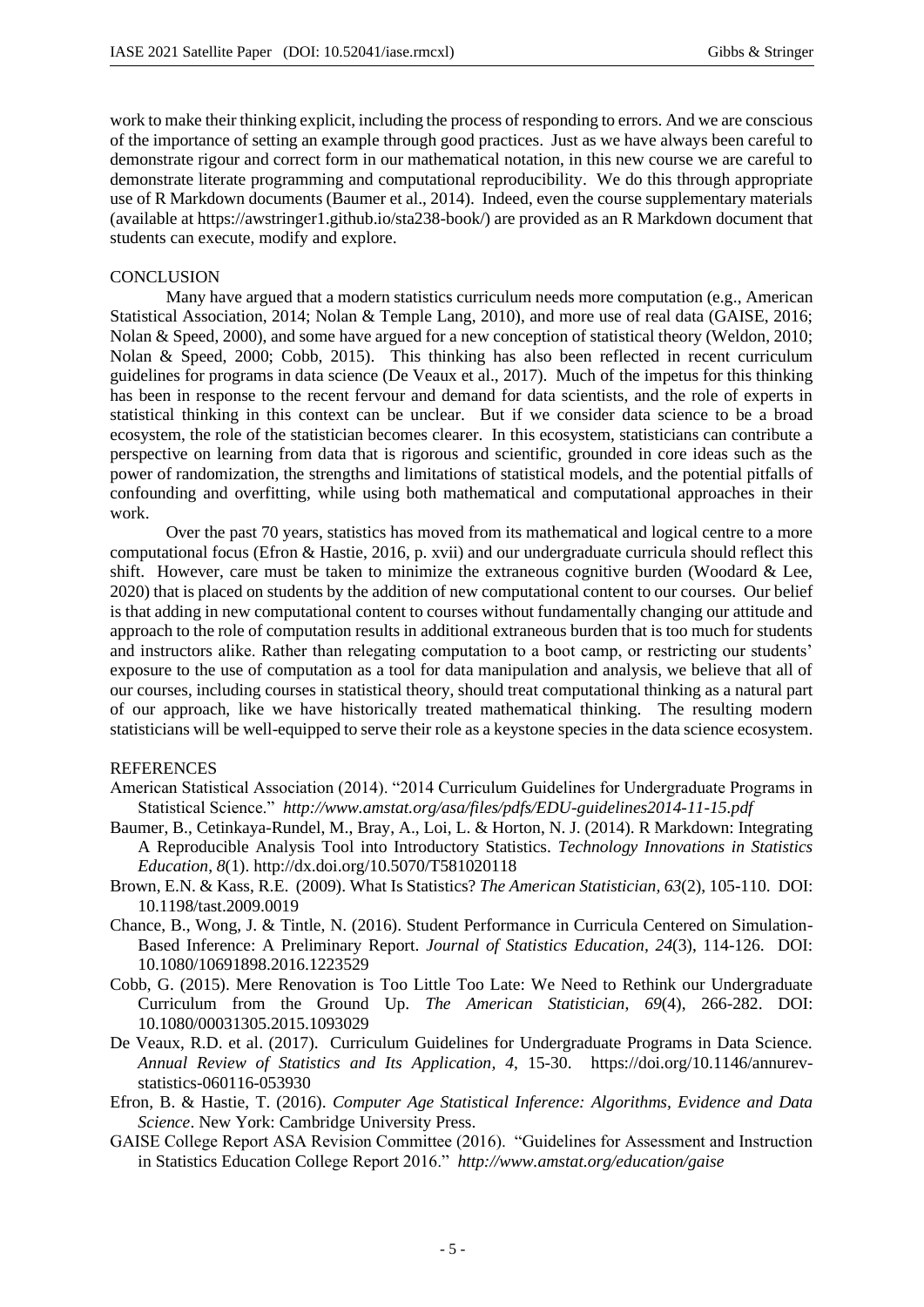work to make their thinking explicit, including the process of responding to errors. And we are conscious of the importance of setting an example through good practices. Just as we have always been careful to demonstrate rigour and correct form in our mathematical notation, in this new course we are careful to demonstrate literate programming and computational reproducibility. We do this through appropriate use of R Markdown documents (Baumer et al., 2014). Indeed, even the course supplementary materials (available at https://awstringer1.github.io/sta238-book/) are provided as an R Markdown document that students can execute, modify and explore.

## **CONCLUSION**

Many have argued that a modern statistics curriculum needs more computation (e.g., American Statistical Association, 2014; Nolan & Temple Lang, 2010), and more use of real data (GAISE, 2016; Nolan & Speed, 2000), and some have argued for a new conception of statistical theory (Weldon, 2010; Nolan & Speed, 2000; Cobb, 2015). This thinking has also been reflected in recent curriculum guidelines for programs in data science (De Veaux et al., 2017). Much of the impetus for this thinking has been in response to the recent fervour and demand for data scientists, and the role of experts in statistical thinking in this context can be unclear. But if we consider data science to be a broad ecosystem, the role of the statistician becomes clearer. In this ecosystem, statisticians can contribute a perspective on learning from data that is rigorous and scientific, grounded in core ideas such as the power of randomization, the strengths and limitations of statistical models, and the potential pitfalls of confounding and overfitting, while using both mathematical and computational approaches in their work.

Over the past 70 years, statistics has moved from its mathematical and logical centre to a more computational focus (Efron & Hastie, 2016, p. xvii) and our undergraduate curricula should reflect this shift. However, care must be taken to minimize the extraneous cognitive burden (Woodard & Lee, 2020) that is placed on students by the addition of new computational content to our courses. Our belief is that adding in new computational content to courses without fundamentally changing our attitude and approach to the role of computation results in additional extraneous burden that is too much for students and instructors alike. Rather than relegating computation to a boot camp, or restricting our students' exposure to the use of computation as a tool for data manipulation and analysis, we believe that all of our courses, including courses in statistical theory, should treat computational thinking as a natural part of our approach, like we have historically treated mathematical thinking. The resulting modern statisticians will be well-equipped to serve their role as a keystone species in the data science ecosystem.

#### **REFERENCES**

- American Statistical Association (2014). "2014 Curriculum Guidelines for Undergraduate Programs in Statistical Science." *http://www.amstat.org/asa/files/pdfs/EDU-guidelines2014-11-15.pdf*
- Baumer, B., Cetinkaya-Rundel, M., Bray, A., Loi, L. & Horton, N. J. (2014). R Markdown: Integrating A Reproducible Analysis Tool into Introductory Statistics. *Technology Innovations in Statistics Education*, *8*(1). http://dx.doi.org/10.5070/T581020118
- Brown, E.N. & Kass, R.E. (2009). What Is Statistics? *The American Statistician, 63*(2), 105-110. DOI: 10.1198/tast.2009.0019
- Chance, B., Wong, J. & Tintle, N. (2016). Student Performance in Curricula Centered on Simulation-Based Inference: A Preliminary Report. *Journal of Statistics Education, 24*(3), 114-126. DOI: 10.1080/10691898.2016.1223529
- Cobb, G. (2015). Mere Renovation is Too Little Too Late: We Need to Rethink our Undergraduate Curriculum from the Ground Up. *The American Statistician*, *69*(4), 266-282. DOI: 10.1080/00031305.2015.1093029
- De Veaux, R.D. et al. (2017). Curriculum Guidelines for Undergraduate Programs in Data Science. *Annual Review of Statistics and Its Application, 4*, 15-30. https://doi.org/10.1146/annurevstatistics-060116-053930
- Efron, B. & Hastie, T. (2016). *Computer Age Statistical Inference: Algorithms, Evidence and Data Science*. New York: Cambridge University Press.
- GAISE College Report ASA Revision Committee (2016). "Guidelines for Assessment and Instruction in Statistics Education College Report 2016." *http://www.amstat.org/education/gaise*